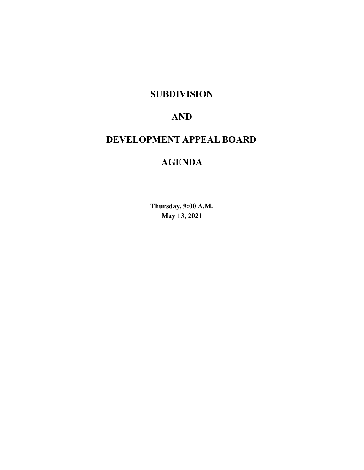## **SUBDIVISION**

## **AND**

## **DEVELOPMENT APPEAL BOARD**

## **AGENDA**

**Thursday, 9:00 A.M. May 13, 2021**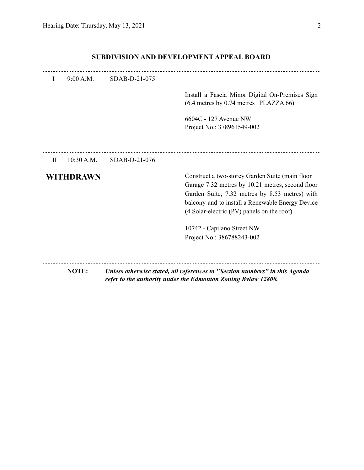|           |            |                                                                                                                                              | 6604C - 127 Avenue NW<br>Project No.: 378961549-002                                                                                                                                                                                                     |  |  |
|-----------|------------|----------------------------------------------------------------------------------------------------------------------------------------------|---------------------------------------------------------------------------------------------------------------------------------------------------------------------------------------------------------------------------------------------------------|--|--|
|           |            |                                                                                                                                              |                                                                                                                                                                                                                                                         |  |  |
| $\rm{II}$ | 10:30 A.M. | SDAB-D-21-076                                                                                                                                |                                                                                                                                                                                                                                                         |  |  |
|           | WITHDRAWN  |                                                                                                                                              | Construct a two-storey Garden Suite (main floor<br>Garage 7.32 metres by 10.21 metres, second floor<br>Garden Suite, 7.32 metres by 8.53 metres) with<br>balcony and to install a Renewable Energy Device<br>(4 Solar-electric (PV) panels on the roof) |  |  |
|           |            |                                                                                                                                              | 10742 - Capilano Street NW<br>Project No.: 386788243-002                                                                                                                                                                                                |  |  |
|           |            |                                                                                                                                              |                                                                                                                                                                                                                                                         |  |  |
|           | NOTE:      | Unless otherwise stated, all references to "Section numbers" in this Agenda<br>refer to the authority under the Edmonton Zoning Bylaw 12800. |                                                                                                                                                                                                                                                         |  |  |

### **SUBDIVISION AND DEVELOPMENT APPEAL BOARD**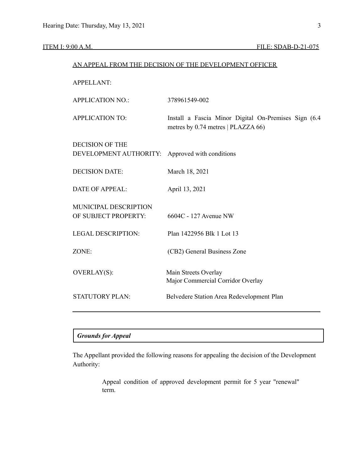#### ITEM I: 9:00 A.M. FILE: SDAB-D-21-075

# AN APPEAL FROM THE DECISION OF THE DEVELOPMENT OFFICER APPELLANT: APPLICATION NO.: 378961549-002 APPLICATION TO: Install a Fascia Minor Digital On-Premises Sign (6.4 metres by 0.74 metres | PLAZZA 66) DECISION OF THE DEVELOPMENT AUTHORITY: Approved with conditions DECISION DATE: March 18, 2021 DATE OF APPEAL: April 13, 2021 MUNICIPAL DESCRIPTION OF SUBJECT PROPERTY: 6604C - 127 Avenue NW LEGAL DESCRIPTION: Plan 1422956 Blk 1 Lot 13 ZONE: (CB2) General Business Zone OVERLAY(S): Main Streets Overlay Major Commercial Corridor Overlay STATUTORY PLAN: Belvedere Station Area Redevelopment Plan

#### *Grounds for Appeal*

The Appellant provided the following reasons for appealing the decision of the Development Authority:

> Appeal condition of approved development permit for 5 year "renewal" term.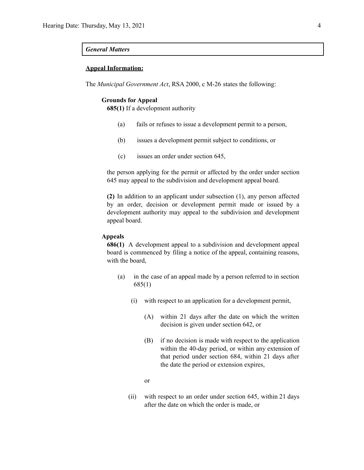#### *General Matters*

#### **Appeal Information:**

The *Municipal Government Act*, RSA 2000, c M-26 states the following:

#### **Grounds for Appeal**

**685(1)** If a development authority

- (a) fails or refuses to issue a development permit to a person,
- (b) issues a development permit subject to conditions, or
- (c) issues an order under section 645,

the person applying for the permit or affected by the order under section 645 may appeal to the subdivision and development appeal board.

**(2)** In addition to an applicant under subsection (1), any person affected by an order, decision or development permit made or issued by a development authority may appeal to the subdivision and development appeal board.

#### **Appeals**

**686(1)** A development appeal to a subdivision and development appeal board is commenced by filing a notice of the appeal, containing reasons, with the board,

- (a) in the case of an appeal made by a person referred to in section 685(1)
	- (i) with respect to an application for a development permit,
		- (A) within 21 days after the date on which the written decision is given under section 642, or
		- (B) if no decision is made with respect to the application within the 40-day period, or within any extension of that period under section 684, within 21 days after the date the period or extension expires,
		- or
	- (ii) with respect to an order under section 645, within 21 days after the date on which the order is made, or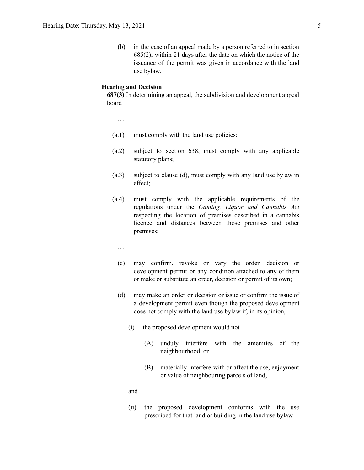(b) in the case of an appeal made by a person referred to in section 685(2), within 21 days after the date on which the notice of the issuance of the permit was given in accordance with the land use bylaw.

#### **Hearing and Decision**

**687(3)** In determining an appeal, the subdivision and development appeal board

…

- (a.1) must comply with the land use policies;
- (a.2) subject to section 638, must comply with any applicable statutory plans;
- (a.3) subject to clause (d), must comply with any land use bylaw in effect;
- (a.4) must comply with the applicable requirements of the regulations under the *Gaming, Liquor and Cannabis Act* respecting the location of premises described in a cannabis licence and distances between those premises and other premises;
	- …
	- (c) may confirm, revoke or vary the order, decision or development permit or any condition attached to any of them or make or substitute an order, decision or permit of its own;
	- (d) may make an order or decision or issue or confirm the issue of a development permit even though the proposed development does not comply with the land use bylaw if, in its opinion,
		- (i) the proposed development would not
			- (A) unduly interfere with the amenities of the neighbourhood, or
			- (B) materially interfere with or affect the use, enjoyment or value of neighbouring parcels of land,

and

(ii) the proposed development conforms with the use prescribed for that land or building in the land use bylaw.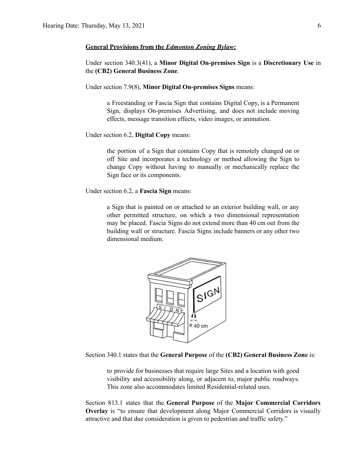#### **General Provisions from the** *Edmonton Zoning Bylaw:*

Under section 340.3(41), a **Minor Digital On-premises Sign** is a **Discretionary Use** in the **(CB2) General Business Zone**.

Under section 7.9(8), **Minor Digital On-premises Signs** means:

a Freestanding or Fascia Sign that contains Digital Copy, is a Permanent Sign, displays On-premises Advertising, and does not include moving effects, message transition effects, video images, or animation.

Under section 6.2, **Digital Copy** means:

the portion of a Sign that contains Copy that is remotely changed on or off Site and incorporates a technology or method allowing the Sign to change Copy without having to manually or mechanically replace the Sign face or its components.

Under section 6.2, a **Fascia Sign** means:

a Sign that is painted on or attached to an exterior building wall, or any other permitted structure, on which a two dimensional representation may be placed. Fascia Signs do not extend more than 40 cm out from the building wall or structure. Fascia Signs include banners or any other two dimensional medium.



Section 340.1 states that the **General Purpose** of the **(CB2) General Business Zone** is:

to provide for businesses that require large Sites and a location with good visibility and accessibility along, or adjacent to, major public roadways. This zone also accommodates limited Residential-related uses.

Section 813.1 states that the **General Purpose** of the **Major Commercial Corridors Overlay** is "to ensure that development along Major Commercial Corridors is visually attractive and that due consideration is given to pedestrian and traffic safety."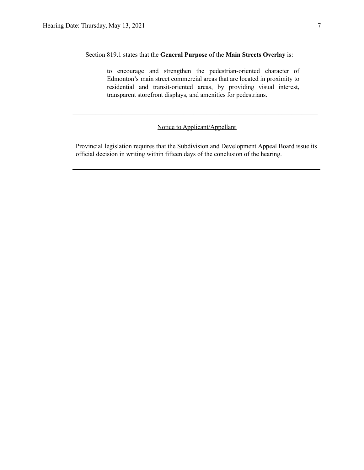Section 819.1 states that the **General Purpose** of the **Main Streets Overlay** is:

to encourage and strengthen the pedestrian-oriented character of Edmonton's main street commercial areas that are located in proximity to residential and transit-oriented areas, by providing visual interest, transparent storefront displays, and amenities for pedestrians.

#### Notice to Applicant/Appellant

 $\mathcal{L}_\text{max} = \frac{1}{2} \sum_{i=1}^n \mathcal{L}_\text{max} = \frac{1}{2} \sum_{i=1}^n \mathcal{L}_\text{max} = \frac{1}{2} \sum_{i=1}^n \mathcal{L}_\text{max} = \frac{1}{2} \sum_{i=1}^n \mathcal{L}_\text{max} = \frac{1}{2} \sum_{i=1}^n \mathcal{L}_\text{max} = \frac{1}{2} \sum_{i=1}^n \mathcal{L}_\text{max} = \frac{1}{2} \sum_{i=1}^n \mathcal{L}_\text{max} = \frac{1}{2} \sum_{i=$ 

Provincial legislation requires that the Subdivision and Development Appeal Board issue its official decision in writing within fifteen days of the conclusion of the hearing.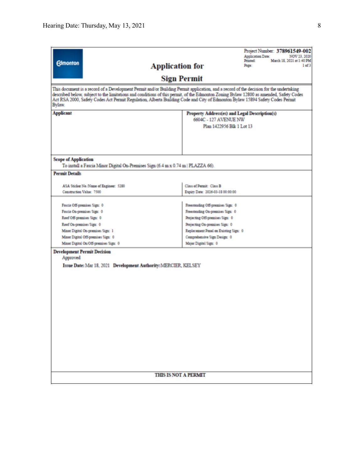|                                                                                                                                        |                                                              | Project Number: 378961549-002                                         |  |  |  |  |  |  |
|----------------------------------------------------------------------------------------------------------------------------------------|--------------------------------------------------------------|-----------------------------------------------------------------------|--|--|--|--|--|--|
|                                                                                                                                        |                                                              | <b>Application Date:</b><br>NOV 23, 2020<br>March 18, 2021 at 1:40 PM |  |  |  |  |  |  |
| <b>Edmonton</b><br><b>Application for</b>                                                                                              |                                                              | Printed:<br>1 of 3<br>Page:                                           |  |  |  |  |  |  |
|                                                                                                                                        |                                                              |                                                                       |  |  |  |  |  |  |
|                                                                                                                                        | <b>Sign Permit</b>                                           |                                                                       |  |  |  |  |  |  |
| This document is a record of a Development Permit and/or Building Permit application, and a record of the decision for the undertaking |                                                              |                                                                       |  |  |  |  |  |  |
| described below, subject to the limitations and conditions of this permit, of the Edmonton Zoning Bylaw 12800 as amended, Safety Codes |                                                              |                                                                       |  |  |  |  |  |  |
| Act RSA 2000, Safety Codes Act Permit Regulation, Alberta Building Code and City of Edmonton Bylaw 15894 Safety Codes Permit<br>Bylaw. |                                                              |                                                                       |  |  |  |  |  |  |
|                                                                                                                                        |                                                              |                                                                       |  |  |  |  |  |  |
| <b>Applicant</b>                                                                                                                       | Property Address(es) and Legal Description(s)                |                                                                       |  |  |  |  |  |  |
|                                                                                                                                        | 6604C - 127 AVENUE NW<br>Plan 1422956 Blk 1 Lot 13           |                                                                       |  |  |  |  |  |  |
|                                                                                                                                        |                                                              |                                                                       |  |  |  |  |  |  |
|                                                                                                                                        |                                                              |                                                                       |  |  |  |  |  |  |
|                                                                                                                                        |                                                              |                                                                       |  |  |  |  |  |  |
|                                                                                                                                        |                                                              |                                                                       |  |  |  |  |  |  |
| <b>Scope of Application</b>                                                                                                            |                                                              |                                                                       |  |  |  |  |  |  |
| To install a Fascia Minor Digital On-Premises Sign (6.4 m x 0.74 m   PLAZZA 66).                                                       |                                                              |                                                                       |  |  |  |  |  |  |
| <b>Permit Details</b>                                                                                                                  |                                                              |                                                                       |  |  |  |  |  |  |
|                                                                                                                                        |                                                              |                                                                       |  |  |  |  |  |  |
| ASA Sticker No./Name of Engineer: 5280<br>Construction Value: 7500                                                                     | Class of Permit: Class B<br>Expiry Date: 2026-03-18 00:00:00 |                                                                       |  |  |  |  |  |  |
|                                                                                                                                        |                                                              |                                                                       |  |  |  |  |  |  |
| Fascia Off-premises Sign: 0                                                                                                            | Freestanding Off-premises Sign: 0                            |                                                                       |  |  |  |  |  |  |
| Fascia On-premises Sign: 0                                                                                                             | Freestanding On-premises Sign: 0                             |                                                                       |  |  |  |  |  |  |
| Roof Off-premises Sign: 0                                                                                                              | Projecting Off-premises Sign: 0                              |                                                                       |  |  |  |  |  |  |
| Roof On-premises Sign: 0                                                                                                               | Projecting On-premises Sign: 0                               |                                                                       |  |  |  |  |  |  |
| Minor Digital On-premises Sign: 1                                                                                                      | Replacement Panel on Existing Sign: 0                        |                                                                       |  |  |  |  |  |  |
| Minor Digital Off-premises Sign: 0                                                                                                     | Comprehensive Sign Design: 0                                 |                                                                       |  |  |  |  |  |  |
| Minor Digital On/Off-premises Sign: 0                                                                                                  | Major Digital Sign: 0                                        |                                                                       |  |  |  |  |  |  |
| <b>Development Permit Decision</b>                                                                                                     |                                                              |                                                                       |  |  |  |  |  |  |
| Approved                                                                                                                               |                                                              |                                                                       |  |  |  |  |  |  |
| Issue Date: Mar 18, 2021 Development Authority: MERCIER, KELSEY                                                                        |                                                              |                                                                       |  |  |  |  |  |  |
|                                                                                                                                        |                                                              |                                                                       |  |  |  |  |  |  |
|                                                                                                                                        |                                                              |                                                                       |  |  |  |  |  |  |
|                                                                                                                                        |                                                              |                                                                       |  |  |  |  |  |  |
|                                                                                                                                        |                                                              |                                                                       |  |  |  |  |  |  |
|                                                                                                                                        |                                                              |                                                                       |  |  |  |  |  |  |
|                                                                                                                                        |                                                              |                                                                       |  |  |  |  |  |  |
|                                                                                                                                        |                                                              |                                                                       |  |  |  |  |  |  |
|                                                                                                                                        |                                                              |                                                                       |  |  |  |  |  |  |
|                                                                                                                                        |                                                              |                                                                       |  |  |  |  |  |  |
|                                                                                                                                        |                                                              |                                                                       |  |  |  |  |  |  |
|                                                                                                                                        |                                                              |                                                                       |  |  |  |  |  |  |
|                                                                                                                                        |                                                              |                                                                       |  |  |  |  |  |  |
|                                                                                                                                        |                                                              |                                                                       |  |  |  |  |  |  |
|                                                                                                                                        |                                                              |                                                                       |  |  |  |  |  |  |
|                                                                                                                                        |                                                              |                                                                       |  |  |  |  |  |  |
|                                                                                                                                        | <b>THIS IS NOT A PERMIT</b>                                  |                                                                       |  |  |  |  |  |  |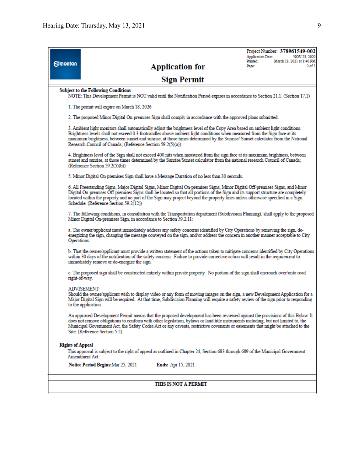|                                                                                                                                                                                                                                                                                                 | Project Number: 378961549-002<br><b>Application Date:</b><br>NOV 23, 2020                                                                                                                                                                                                                                                                                                                                                                                |  |  |  |  |  |  |  |
|-------------------------------------------------------------------------------------------------------------------------------------------------------------------------------------------------------------------------------------------------------------------------------------------------|----------------------------------------------------------------------------------------------------------------------------------------------------------------------------------------------------------------------------------------------------------------------------------------------------------------------------------------------------------------------------------------------------------------------------------------------------------|--|--|--|--|--|--|--|
| <b>Edmonton</b>                                                                                                                                                                                                                                                                                 | March 18, 2021 at 1:40 PM<br>Printed:<br><b>Application for</b><br>$2$ of $3$<br>Page:                                                                                                                                                                                                                                                                                                                                                                   |  |  |  |  |  |  |  |
|                                                                                                                                                                                                                                                                                                 |                                                                                                                                                                                                                                                                                                                                                                                                                                                          |  |  |  |  |  |  |  |
|                                                                                                                                                                                                                                                                                                 | <b>Sign Permit</b>                                                                                                                                                                                                                                                                                                                                                                                                                                       |  |  |  |  |  |  |  |
| <b>Subject to the Following Conditions</b>                                                                                                                                                                                                                                                      |                                                                                                                                                                                                                                                                                                                                                                                                                                                          |  |  |  |  |  |  |  |
| NOTE: This Development Permit is NOT valid until the Notification Period expires in accordance to Section 21.1. (Section 17.1)                                                                                                                                                                  |                                                                                                                                                                                                                                                                                                                                                                                                                                                          |  |  |  |  |  |  |  |
|                                                                                                                                                                                                                                                                                                 | 1. The permit will expire on March 18, 2026.                                                                                                                                                                                                                                                                                                                                                                                                             |  |  |  |  |  |  |  |
|                                                                                                                                                                                                                                                                                                 | 2. The proposed Minor Digital On-premises Sign shall comply in accordance with the approved plans submitted.                                                                                                                                                                                                                                                                                                                                             |  |  |  |  |  |  |  |
|                                                                                                                                                                                                                                                                                                 | 3. Ambient light monitors shall automatically adjust the brightness level of the Copy Area based on ambient light conditions.<br>Brightness levels shall not exceed 0.3 footcandles above ambient light conditions when measured from the Sign face at its<br>maximum brightness, between sunset and sunrise, at those times determined by the Sunrise/Sunset calculator from the National<br>Research Council of Canada; (Reference Section 59.2(5)(a)) |  |  |  |  |  |  |  |
| 4. Brightness level of the Sign shall not exceed 400 nits when measured from the sign face at its maximum brightness, between<br>sunset and sunrise, at those times determined by the Sunrise/Sunset calculator from the national research Council of Canada;<br>(Reference Section 59.2(5)(b)) |                                                                                                                                                                                                                                                                                                                                                                                                                                                          |  |  |  |  |  |  |  |
|                                                                                                                                                                                                                                                                                                 | 5. Minor Digital On-premises Sign shall have a Message Duration of no less than 30 seconds.                                                                                                                                                                                                                                                                                                                                                              |  |  |  |  |  |  |  |
|                                                                                                                                                                                                                                                                                                 | 6. All Freestanding Signs, Major Digital Signs, Minor Digital On-premises Signs, Minor Digital Off-premises Signs, and Minor<br>Digital On-premises Off-premises Signs shall be located so that all portions of the Sign and its support structure are completely<br>located within the property and no part of the Sign may project beyond the property lines unless otherwise specified in a Sign<br>Schedule. (Reference Section 59.2(12))            |  |  |  |  |  |  |  |
|                                                                                                                                                                                                                                                                                                 | 7. The following conditions, in consultation with the Transportation department (Subdivision Planning), shall apply to the proposed<br>Minor Digital On-premises Sign, in accordance to Section 59.2.11:                                                                                                                                                                                                                                                 |  |  |  |  |  |  |  |
|                                                                                                                                                                                                                                                                                                 | a. The owner/applicant must immediately address any safety concerns identified by City Operations by removing the sign, de-<br>energizing the sign, changing the message conveyed on the sign, and/or address the concern in another manner acceptable to City<br>Operations.                                                                                                                                                                            |  |  |  |  |  |  |  |
|                                                                                                                                                                                                                                                                                                 | b. That the owner/applicant must provide a written statement of the actions taken to mitigate concerns identified by City Operations<br>within 30 days of the notification of the safety concern. Failure to provide corrective action will result in the requirement to<br>immediately remove or de-energize the sign.                                                                                                                                  |  |  |  |  |  |  |  |
|                                                                                                                                                                                                                                                                                                 | c. The proposed sign shall be constructed entirely within private property. No portion of the sign shall encroach over/onto road<br>right-of-way.                                                                                                                                                                                                                                                                                                        |  |  |  |  |  |  |  |
|                                                                                                                                                                                                                                                                                                 | ADVISEMENT:<br>Should the owner/applicant wish to display video or any form of moving images on the sign, a new Development Application for a<br>Major Digital Sign will be required. At that time, Subdivision Planning will require a safety review of the sign prior to responding<br>to the application.                                                                                                                                             |  |  |  |  |  |  |  |
|                                                                                                                                                                                                                                                                                                 | An approved Development Permit means that the proposed development has been reviewed against the provisions of this Bylaw. It<br>does not remove obligations to conform with other legislation, bylaws or land title instruments including, but not limited to, the<br>Municipal Government Act, the Safety Codes Act or any caveats, restrictive covenants or easements that might be attached to the<br>Site. (Reference Section 5.2).                 |  |  |  |  |  |  |  |
| <b>Rights of Appeal</b>                                                                                                                                                                                                                                                                         |                                                                                                                                                                                                                                                                                                                                                                                                                                                          |  |  |  |  |  |  |  |
|                                                                                                                                                                                                                                                                                                 | This approval is subject to the right of appeal as outlined in Chapter 24, Section 683 through 689 of the Municipal Government<br>Amendment Act.                                                                                                                                                                                                                                                                                                         |  |  |  |  |  |  |  |
|                                                                                                                                                                                                                                                                                                 | Notice Period Begins: Mar 25, 2021<br><b>Ends:</b> Apr 15, 2021                                                                                                                                                                                                                                                                                                                                                                                          |  |  |  |  |  |  |  |
|                                                                                                                                                                                                                                                                                                 |                                                                                                                                                                                                                                                                                                                                                                                                                                                          |  |  |  |  |  |  |  |
| THIS IS NOT A PERMIT                                                                                                                                                                                                                                                                            |                                                                                                                                                                                                                                                                                                                                                                                                                                                          |  |  |  |  |  |  |  |
|                                                                                                                                                                                                                                                                                                 |                                                                                                                                                                                                                                                                                                                                                                                                                                                          |  |  |  |  |  |  |  |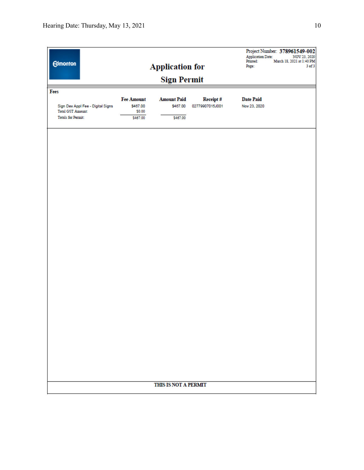| <b>Edmonton</b>                   | <b>Application for</b><br><b>Sign Permit</b> |                    |                 |                  | Project Number: 378961549-002<br><b>Application Date:</b><br>NOV 23, 2020<br>Printed:<br>March 18, 2021 at 1:40 PM<br>$3$ of $3$<br>Page: |  |  |  |  |  |
|-----------------------------------|----------------------------------------------|--------------------|-----------------|------------------|-------------------------------------------------------------------------------------------------------------------------------------------|--|--|--|--|--|
|                                   |                                              |                    |                 |                  |                                                                                                                                           |  |  |  |  |  |
| Fees                              | <b>Fee Amount</b>                            | <b>Amount Paid</b> | Receipt#        | <b>Date Paid</b> |                                                                                                                                           |  |  |  |  |  |
| Sign Dev Appl Fee - Digital Signs | \$467.00                                     | \$467.00           | 02779907015J001 | Nov 23, 2020     |                                                                                                                                           |  |  |  |  |  |
| <b>Total GST Amount:</b>          | \$0.00                                       |                    |                 |                  |                                                                                                                                           |  |  |  |  |  |
| <b>Totals for Permit:</b>         | \$467.00                                     | \$467.00           |                 |                  |                                                                                                                                           |  |  |  |  |  |
|                                   |                                              |                    |                 |                  |                                                                                                                                           |  |  |  |  |  |
| THIS IS NOT A PERMIT              |                                              |                    |                 |                  |                                                                                                                                           |  |  |  |  |  |